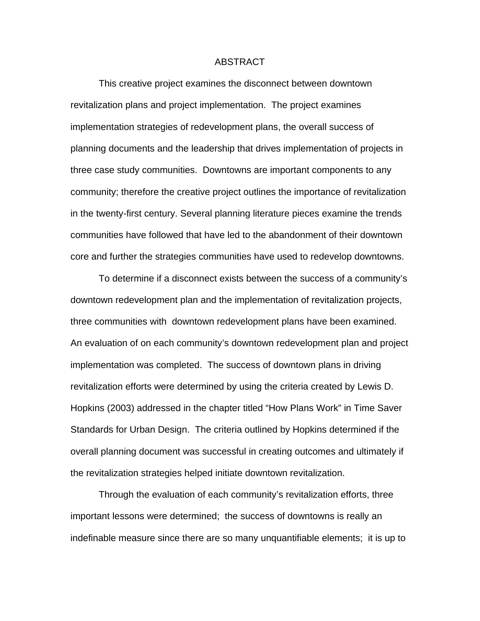## ABSTRACT

This creative project examines the disconnect between downtown revitalization plans and project implementation. The project examines implementation strategies of redevelopment plans, the overall success of planning documents and the leadership that drives implementation of projects in three case study communities. Downtowns are important components to any community; therefore the creative project outlines the importance of revitalization in the twenty-first century. Several planning literature pieces examine the trends communities have followed that have led to the abandonment of their downtown core and further the strategies communities have used to redevelop downtowns.

To determine if a disconnect exists between the success of a community's downtown redevelopment plan and the implementation of revitalization projects, three communities with downtown redevelopment plans have been examined. An evaluation of on each community's downtown redevelopment plan and project implementation was completed. The success of downtown plans in driving revitalization efforts were determined by using the criteria created by Lewis D. Hopkins (2003) addressed in the chapter titled "How Plans Work" in Time Saver Standards for Urban Design. The criteria outlined by Hopkins determined if the overall planning document was successful in creating outcomes and ultimately if the revitalization strategies helped initiate downtown revitalization.

Through the evaluation of each community's revitalization efforts, three important lessons were determined; the success of downtowns is really an indefinable measure since there are so many unquantifiable elements; it is up to